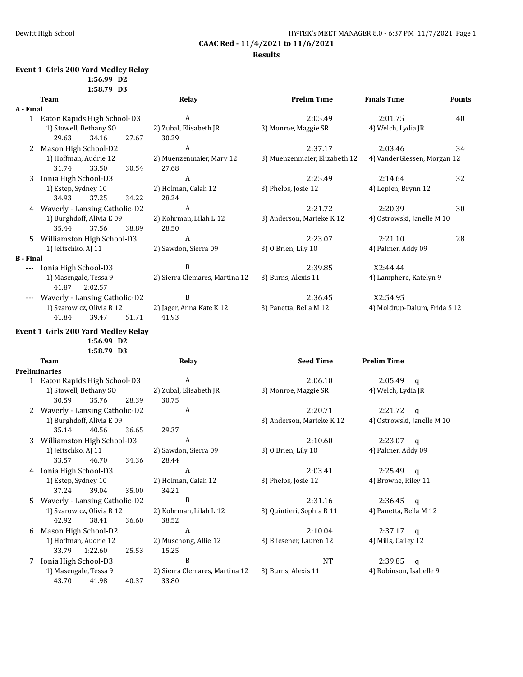## **Results**

## **Event 1 Girls 200 Yard Medley Relay**

**1:56.99 D2 1:58.79 D3**

43.70 41.98 40.37 33.80

|                  | <b>Team</b>                         | Relay                          | <b>Prelim Time</b>            | <b>Finals Time</b>           | <b>Points</b> |
|------------------|-------------------------------------|--------------------------------|-------------------------------|------------------------------|---------------|
| A - Final        |                                     |                                |                               |                              |               |
|                  | 1 Eaton Rapids High School-D3       | A                              | 2:05.49                       | 2:01.75                      | 40            |
|                  | 1) Stowell, Bethany SO              | 2) Zubal, Elisabeth JR         | 3) Monroe, Maggie SR          | 4) Welch, Lydia JR           |               |
|                  | 29.63<br>34.16<br>27.67             | 30.29                          |                               |                              |               |
| 2                | Mason High School-D2                | A                              | 2:37.17                       | 2:03.46                      | 34            |
|                  | 1) Hoffman, Audrie 12               | 2) Muenzenmaier, Mary 12       | 3) Muenzenmaier, Elizabeth 12 | 4) VanderGiessen, Morgan 12  |               |
|                  | 31.74<br>33.50<br>30.54             | 27.68                          |                               |                              |               |
| 3                | Ionia High School-D3                | A                              | 2:25.49                       | 2:14.64                      | 32            |
|                  | 1) Estep, Sydney 10                 | 2) Holman, Calah 12            | 3) Phelps, Josie 12           | 4) Lepien, Brynn 12          |               |
|                  | 34.93<br>37.25<br>34.22             | 28.24                          |                               |                              |               |
|                  | 4 Waverly - Lansing Catholic-D2     | A                              | 2:21.72                       | 2:20.39                      | 30            |
|                  | 1) Burghdoff, Alivia E 09           | 2) Kohrman, Lilah L 12         | 3) Anderson, Marieke K 12     | 4) Ostrowski, Janelle M 10   |               |
|                  | 37.56<br>38.89<br>35.44             | 28.50                          |                               |                              |               |
| 5.               | Williamston High School-D3          | A                              | 2:23.07                       | 2:21.10                      | 28            |
|                  | 1) Jeitschko, AJ 11                 | 2) Sawdon, Sierra 09           | 3) O'Brien, Lily 10           | 4) Palmer, Addy 09           |               |
| <b>B</b> - Final |                                     |                                |                               |                              |               |
|                  | --- Ionia High School-D3            | B                              | 2:39.85                       | X2:44.44                     |               |
|                  | 1) Masengale, Tessa 9               | 2) Sierra Clemares, Martina 12 | 3) Burns, Alexis 11           | 4) Lamphere, Katelyn 9       |               |
|                  | 41.87<br>2:02.57                    |                                |                               |                              |               |
|                  | Waverly - Lansing Catholic-D2       | B                              | 2:36.45                       | X2:54.95                     |               |
|                  | 1) Szarowicz, Olivia R 12           | 2) Jager, Anna Kate K 12       | 3) Panetta, Bella M 12        | 4) Moldrup-Dalum, Frida S 12 |               |
|                  | 41.84<br>39.47<br>51.71             | 41.93                          |                               |                              |               |
|                  |                                     |                                |                               |                              |               |
|                  | Event 1 Girls 200 Yard Medley Relay |                                |                               |                              |               |
|                  | 1:56.99 D2                          |                                |                               |                              |               |
|                  | 1:58.79 D3                          |                                |                               |                              |               |
|                  | Team                                | <b>Relay</b>                   | <b>Seed Time</b>              | <b>Prelim Time</b>           |               |
|                  | Preliminaries                       |                                |                               |                              |               |
|                  | 1 Eaton Rapids High School-D3       | $\boldsymbol{A}$               | 2:06.10                       | 2:05.49<br>q                 |               |
|                  | 1) Stowell, Bethany SO              | 2) Zubal, Elisabeth JR         | 3) Monroe, Maggie SR          | 4) Welch, Lydia JR           |               |
|                  | 35.76<br>30.59<br>28.39             | 30.75                          |                               |                              |               |
| 2                | Waverly - Lansing Catholic-D2       | A                              | 2:20.71                       | 2:21.72<br>$\mathbf q$       |               |
|                  | 1) Burghdoff, Alivia E 09           |                                | 3) Anderson, Marieke K 12     | 4) Ostrowski, Janelle M 10   |               |
|                  | 35.14<br>40.56<br>36.65             | 29.37                          |                               |                              |               |
| 3                | Williamston High School-D3          | A                              | 2:10.60                       | 2:23.07<br>$\mathbf q$       |               |
|                  | 1) Jeitschko, AJ 11                 | 2) Sawdon, Sierra 09           | 3) O'Brien, Lily 10           | 4) Palmer, Addy 09           |               |
|                  | 33.57<br>46.70<br>34.36             | 28.44                          |                               |                              |               |
|                  | 4 Ionia High School-D3              | A                              | 2:03.41                       | 2:25.49<br>q                 |               |
|                  | 1) Estep, Sydney 10                 | 2) Holman, Calah 12            | 3) Phelps, Josie 12           | 4) Browne, Riley 11          |               |
|                  | 37.24<br>39.04<br>35.00             | 34.21                          |                               |                              |               |
| 5                | Waverly - Lansing Catholic-D2       | B                              | 2:31.16                       | 2:36.45<br>$\mathsf q$       |               |
|                  | 1) Szarowicz, Olivia R 12           | 2) Kohrman, Lilah L 12         | 3) Quintieri, Sophia R 11     | 4) Panetta, Bella M 12       |               |
|                  | 42.92<br>36.60<br>38.41             | 38.52                          |                               |                              |               |
| 6                | Mason High School-D2                | A                              | 2:10.04                       | 2:37.17<br>q                 |               |
|                  | 1) Hoffman, Audrie 12               | 2) Muschong, Allie 12          | 3) Bliesener, Lauren 12       | 4) Mills, Cailey 12          |               |
|                  | 33.79<br>1:22.60<br>25.53           | 15.25                          |                               |                              |               |
| 7                | Ionia High School-D3                | B                              | NT                            | 2:39.85<br>$\mathbf q$       |               |
|                  | 1) Masengale, Tessa 9               | 2) Sierra Clemares, Martina 12 | 3) Burns, Alexis 11           | 4) Robinson, Isabelle 9      |               |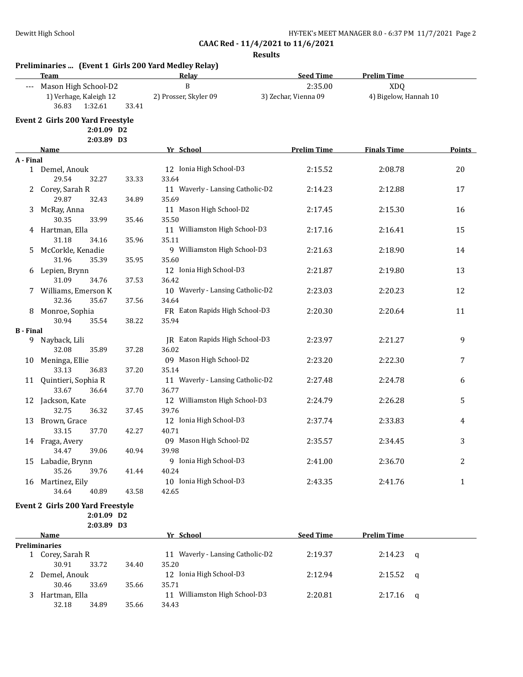|                  | Team                                                                   |                | Relay                                           | <b>Seed Time</b>                | <b>Prelim Time</b>                  |               |
|------------------|------------------------------------------------------------------------|----------------|-------------------------------------------------|---------------------------------|-------------------------------------|---------------|
|                  | --- Mason High School-D2<br>1) Verhage, Kaleigh 12<br>36.83<br>1:32.61 | 33.41          | $\, {\bf B}$<br>2) Prosser, Skyler 09           | 2:35.00<br>3) Zechar, Vienna 09 | <b>XDQ</b><br>4) Bigelow, Hannah 10 |               |
|                  | <b>Event 2 Girls 200 Yard Freestyle</b>                                |                |                                                 |                                 |                                     |               |
|                  | 2:01.09 D2                                                             |                |                                                 |                                 |                                     |               |
|                  | 2:03.89 D3<br>Name                                                     |                | Yr School                                       | <b>Prelim Time</b>              | <b>Finals Time</b>                  | <b>Points</b> |
| A - Final        |                                                                        |                |                                                 |                                 |                                     |               |
|                  | 1 Demel, Anouk<br>29.54<br>32.27                                       | 33.33          | 12 Ionia High School-D3<br>33.64                | 2:15.52                         | 2:08.78                             | 20            |
|                  | 2 Corey, Sarah R<br>29.87<br>32.43                                     | 34.89          | 11 Waverly - Lansing Catholic-D2<br>35.69       | 2:14.23                         | 2:12.88                             | 17            |
| 3                | McRay, Anna<br>30.35<br>33.99                                          | 35.46          | 11 Mason High School-D2<br>35.50                | 2:17.45                         | 2:15.30                             | 16            |
|                  | 4 Hartman, Ella<br>31.18<br>34.16                                      | 35.96          | 11 Williamston High School-D3<br>35.11          | 2:17.16                         | 2:16.41                             | 15            |
| 5.               | McCorkle, Kenadie<br>31.96<br>35.39                                    | 35.95          | 9 Williamston High School-D3<br>35.60           | 2:21.63                         | 2:18.90                             | 14            |
| 6                | Lepien, Brynn<br>34.76                                                 |                | 12 Ionia High School-D3<br>36.42                | 2:21.87                         | 2:19.80                             | 13            |
|                  | 31.09<br>7 Williams, Emerson K<br>35.67                                | 37.53          | 10 Waverly - Lansing Catholic-D2<br>34.64       | 2:23.03                         | 2:20.23                             | 12            |
|                  | 32.36<br>8 Monroe, Sophia<br>30.94<br>35.54                            | 37.56<br>38.22 | FR Eaton Rapids High School-D3<br>35.94         | 2:20.30                         | 2:20.64                             | 11            |
| <b>B</b> - Final |                                                                        |                |                                                 |                                 |                                     |               |
| 9.               | Nayback, Lili<br>32.08<br>35.89                                        | 37.28          | JR Eaton Rapids High School-D3<br>36.02         | 2:23.97                         | 2:21.27                             | 9             |
| 10               | Meninga, Ellie<br>33.13<br>36.83                                       | 37.20          | 09 Mason High School-D2<br>35.14                | 2:23.20                         | 2:22.30                             | 7             |
| 11               | Quintieri, Sophia R<br>33.67<br>36.64                                  | 37.70          | 11 Waverly - Lansing Catholic-D2<br>36.77       | 2:27.48                         | 2:24.78                             | 6             |
|                  | 12 Jackson, Kate<br>32.75<br>36.32                                     | 37.45          | 12 Williamston High School-D3<br>39.76          | 2:24.79                         | 2:26.28                             | 5             |
|                  | 13 Brown, Grace<br>33.15<br>37.70                                      | 42.27          | 12 Ionia High School-D3<br>40.71                | 2:37.74                         | 2:33.83                             | 4             |
|                  | 14 Fraga, Avery<br>34.47<br>39.06                                      | 40.94          | 09 Mason High School-D2<br>39.98                | 2:35.57                         | 2:34.45                             | 3             |
| 15               | Labadie, Brynn<br>35.26<br>39.76                                       | 41.44          | 9 Ionia High School-D3<br>40.24                 | 2:41.00                         | 2:36.70                             | 2             |
| 16               | Martinez, Eily<br>34.64<br>40.89                                       | 43.58          | 10 Ionia High School-D3<br>42.65                | 2:43.35                         | 2:41.76                             | $\mathbf{1}$  |
|                  | Event 2 Girls 200 Yard Freestyle<br>2:01.09 D2                         |                |                                                 |                                 |                                     |               |
|                  | 2:03.89 D3                                                             |                |                                                 |                                 |                                     |               |
|                  | Name                                                                   |                | Yr School                                       | <b>Seed Time</b>                | <b>Prelim Time</b>                  |               |
|                  | <b>Preliminaries</b><br>1 Corey, Sarah R<br>30.91<br>33.72             | 34.40          | 11 Waverly - Lansing Catholic-D2<br>35.20       | 2:19.37                         | 2:14.23                             | q             |
|                  | 2 Demel, Anouk                                                         |                | 12 Ionia High School-D3                         | 2:12.94                         | 2:15.52                             | q             |
| 3                | 30.46<br>33.69<br>Hartman, Ella<br>32.18<br>34.89                      | 35.66<br>35.66 | 35.71<br>11 Williamston High School-D3<br>34.43 | 2:20.81                         | 2:17.16                             | q             |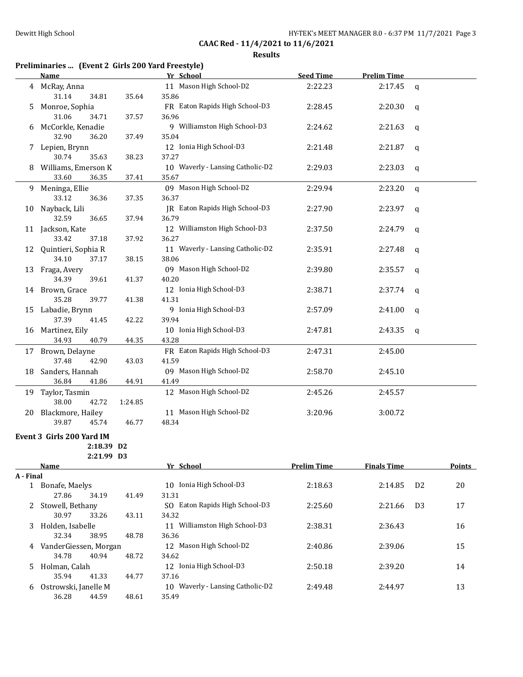|         | Preliminaries  (Event 2 Girls 200 Yard Freestyle) |           |            |
|---------|---------------------------------------------------|-----------|------------|
| $N = 0$ | V <sub>z</sub> Cahaal                             | Cood Time | Daolim Tir |

|           | <u>Name</u>                             |         | <u>Yr School</u>                       | <u>Seed Time</u>   | <u>Prelim Time</u> |                |               |
|-----------|-----------------------------------------|---------|----------------------------------------|--------------------|--------------------|----------------|---------------|
|           | 4 McRay, Anna<br>31.14<br>34.81         | 35.64   | 11 Mason High School-D2<br>35.86       | 2:22.23            | 2:17.45            | q              |               |
| 5         | Monroe, Sophia                          |         | FR Eaton Rapids High School-D3         | 2:28.45            | 2:20.30            | q              |               |
|           | 31.06<br>34.71<br>6 McCorkle, Kenadie   | 37.57   | 36.96<br>9 Williamston High School-D3  | 2:24.62            | 2:21.63            | q              |               |
|           | 32.90<br>36.20                          | 37.49   | 35.04                                  |                    |                    |                |               |
|           | 7 Lepien, Brynn<br>30.74<br>35.63       | 38.23   | 12 Ionia High School-D3<br>37.27       | 2:21.48            | 2:21.87            | q              |               |
|           | 8 Williams, Emerson K<br>33.60<br>36.35 |         | 10 Waverly - Lansing Catholic-D2       | 2:29.03            | 2:23.03            | q              |               |
|           | 9 Meninga, Ellie                        | 37.41   | 35.67<br>09 Mason High School-D2       | 2:29.94            | 2:23.20            |                |               |
|           | 33.12<br>36.36                          | 37.35   | 36.37                                  |                    |                    | q              |               |
|           | 10 Nayback, Lili                        |         | JR Eaton Rapids High School-D3         | 2:27.90            | 2:23.97            | q              |               |
|           | 32.59<br>36.65                          | 37.94   | 36.79                                  |                    |                    |                |               |
|           | 11 Jackson, Kate<br>33.42<br>37.18      |         | 12 Williamston High School-D3<br>36.27 | 2:37.50            | 2:24.79            | q              |               |
|           | 12 Quintieri, Sophia R                  | 37.92   | 11 Waverly - Lansing Catholic-D2       | 2:35.91            | 2:27.48            |                |               |
|           | 34.10<br>37.17                          | 38.15   | 38.06                                  |                    |                    | q              |               |
|           | 13 Fraga, Avery                         |         | 09 Mason High School-D2                | 2:39.80            | 2:35.57            | q              |               |
|           | 34.39<br>39.61                          | 41.37   | 40.20                                  |                    |                    |                |               |
|           | 14 Brown, Grace                         |         | 12 Ionia High School-D3                | 2:38.71            | 2:37.74            | q              |               |
|           | 35.28<br>39.77                          | 41.38   | 41.31                                  |                    |                    |                |               |
|           | 15 Labadie, Brynn                       |         | 9 Ionia High School-D3                 | 2:57.09            | 2:41.00            | q              |               |
|           | 37.39<br>41.45                          | 42.22   | 39.94                                  |                    |                    |                |               |
|           | 16 Martinez, Eily                       |         | 10 Ionia High School-D3                | 2:47.81            | 2:43.35            | q              |               |
|           | 40.79<br>34.93                          | 44.35   | 43.28                                  |                    |                    |                |               |
|           | 17 Brown, Delayne                       |         | FR Eaton Rapids High School-D3         | 2:47.31            | 2:45.00            |                |               |
|           | 37.48<br>42.90                          | 43.03   | 41.59                                  |                    |                    |                |               |
|           | 18 Sanders, Hannah                      |         | 09 Mason High School-D2                | 2:58.70            | 2:45.10            |                |               |
|           | 36.84<br>41.86                          | 44.91   | 41.49                                  |                    |                    |                |               |
|           | 19 Taylor, Tasmin                       |         | 12 Mason High School-D2                | 2:45.26            | 2:45.57            |                |               |
|           | 38.00<br>42.72                          | 1:24.85 |                                        |                    |                    |                |               |
| 20        | Blackmore, Hailey                       |         | 11 Mason High School-D2                | 3:20.96            | 3:00.72            |                |               |
|           | 39.87<br>45.74                          | 46.77   | 48.34                                  |                    |                    |                |               |
|           | Event 3 Girls 200 Yard IM               |         |                                        |                    |                    |                |               |
|           | 2:18.39 D2                              |         |                                        |                    |                    |                |               |
|           | 2:21.99 D3                              |         |                                        |                    |                    |                |               |
| A - Final | Name                                    |         | Yr School                              | <b>Prelim Time</b> | <b>Finals Time</b> |                | <b>Points</b> |
|           | 1 Bonafe, Maelys                        |         | 10 Ionia High School-D3                | 2:18.63            | 2:14.85            | D <sub>2</sub> | 20            |
|           | 27.86<br>34.19                          | 41.49   | 31.31                                  |                    |                    |                |               |
|           | 2 Stowell, Bethany                      |         | SO Eaton Rapids High School-D3         | 2:25.60            | 2:21.66            | D <sub>3</sub> | 17            |
|           | 30.97<br>33.26                          | 43.11   | 34.32                                  |                    |                    |                |               |
| 3         | Holden, Isabelle                        |         | 11 Williamston High School-D3          | 2:38.31            | 2:36.43            |                | 16            |
|           | 32.34<br>38.95                          | 48.78   | 36.36                                  |                    |                    |                |               |
| 4         | VanderGiessen, Morgan                   |         | 12 Mason High School-D2                | 2:40.86            | 2:39.06            |                | 15            |
|           | 34.78<br>40.94                          | 48.72   | 34.62                                  |                    |                    |                |               |
| 5.        | Holman, Calah                           |         | 12 Ionia High School-D3                | 2:50.18            | 2:39.20            |                | 14            |
|           | 35.94<br>41.33                          | 44.77   | 37.16                                  |                    |                    |                |               |
| 6         | Ostrowski, Janelle M                    |         | 10 Waverly - Lansing Catholic-D2       | 2:49.48            | 2:44.97            |                | 13            |
|           | 36.28<br>44.59                          | 48.61   | 35.49                                  |                    |                    |                |               |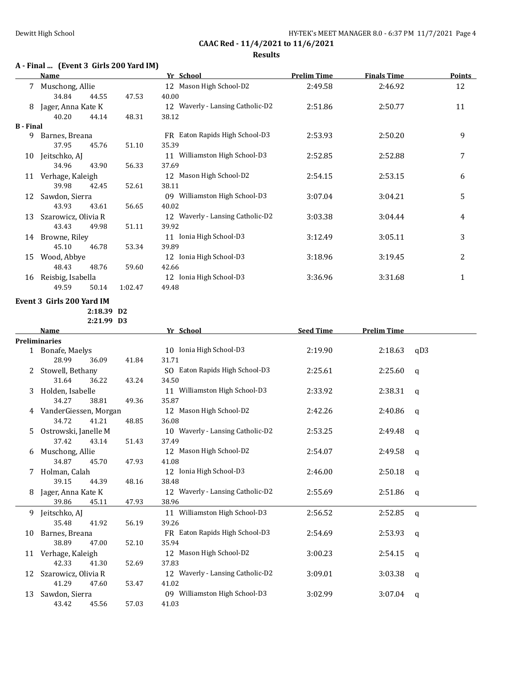# **A - Final ... (Event 3 Girls 200 Yard IM)**

|                  | Name                                                |         | Yr School                                 | <b>Prelim Time</b> | <b>Finals Time</b> | <b>Points</b> |
|------------------|-----------------------------------------------------|---------|-------------------------------------------|--------------------|--------------------|---------------|
|                  | 7 Muschong, Allie<br>34.84<br>44.55                 | 47.53   | 12 Mason High School-D2<br>40.00          | 2:49.58            | 2:46.92            | 12            |
|                  | 8 Jager, Anna Kate K<br>40.20<br>44.14              | 48.31   | 12 Waverly - Lansing Catholic-D2<br>38.12 | 2:51.86            | 2:50.77            | 11            |
| <b>B</b> - Final |                                                     |         |                                           |                    |                    |               |
| 9                | Barnes, Breana<br>37.95<br>45.76                    | 51.10   | FR Eaton Rapids High School-D3<br>35.39   | 2:53.93            | 2:50.20            | 9             |
|                  | 10 Jeitschko, AJ                                    |         | 11 Williamston High School-D3             | 2:52.85            | 2:52.88            | 7             |
|                  | 34.96<br>43.90<br>11 Verhage, Kaleigh               | 56.33   | 37.69<br>12 Mason High School-D2          | 2:54.15            | 2:53.15            | 6             |
|                  | 39.98<br>42.45<br>12 Sawdon, Sierra                 | 52.61   | 38.11<br>09 Williamston High School-D3    | 3:07.04            | 3:04.21            | 5             |
|                  | 43.93<br>43.61                                      | 56.65   | 40.02                                     |                    |                    |               |
| 13               | Szarowicz, Olivia R<br>43.43<br>49.98               | 51.11   | 12 Waverly - Lansing Catholic-D2<br>39.92 | 3:03.38            | 3:04.44            | 4             |
|                  | 14 Browne, Riley<br>45.10<br>46.78                  | 53.34   | 11 Ionia High School-D3<br>39.89          | 3:12.49            | 3:05.11            | 3             |
|                  | 15 Wood, Abbye                                      |         | 12 Ionia High School-D3                   | 3:18.96            | 3:19.45            | 2             |
|                  | 48.43<br>48.76<br>16 Reisbig, Isabella              | 59.60   | 42.66<br>12 Ionia High School-D3          | 3:36.96            | 3:31.68            | $\mathbf{1}$  |
|                  | 49.59<br>50.14                                      | 1:02.47 | 49.48                                     |                    |                    |               |
|                  | Event 3 Girls 200 Yard IM<br>2:18.39 D <sub>2</sub> |         |                                           |                    |                    |               |
|                  | 2:21.99 D3                                          |         |                                           |                    |                    |               |
|                  | Name                                                |         | Yr School                                 | <b>Seed Time</b>   | <b>Prelim Time</b> |               |
|                  | <b>Preliminaries</b>                                |         |                                           |                    |                    |               |
|                  | 1 Bonafe, Maelys<br>28.99<br>36.09                  | 41.84   | 10 Ionia High School-D3<br>31.71          | 2:19.90            | 2:18.63            | qD3           |
|                  | 2 Stowell, Bethany<br>31.64<br>36.22                | 43.24   | SO Eaton Rapids High School-D3<br>34.50   | 2:25.61            | 2:25.60            | q             |
|                  | 3 Holden, Isabelle<br>34.27<br>38.81                | 49.36   | 11 Williamston High School-D3<br>35.87    | 2:33.92            | 2:38.31            | q             |
|                  | 4 VanderGiessen, Morgan                             |         | 12 Mason High School-D2                   | 2:42.26            | 2:40.86            | q             |
| 5.               | 34.72<br>41.21<br>Ostrowski, Janelle M              | 48.85   | 36.08<br>10 Waverly - Lansing Catholic-D2 | 2:53.25            | 2:49.48            | q             |
|                  | 37.42<br>43.14<br>6 Muschong, Allie                 | 51.43   | 37.49<br>12 Mason High School-D2          | 2:54.07            | 2:49.58            | q             |
|                  | 34.87<br>45.70<br>7 Holman, Calah                   | 47.93   | 41.08<br>12 Ionia High School-D3          | 2:46.00            | 2:50.18            |               |
|                  | 39.15<br>44.39                                      | 48.16   | 38.48                                     |                    |                    | q             |
|                  | 8 Jager, Anna Kate K<br>39.86<br>45.11              | 47.93   | 12 Waverly - Lansing Catholic-D2<br>38.96 | 2:55.69            | 2:51.86            | q             |
|                  | 9 Jeitschko, AJ<br>35.48<br>41.92                   | 56.19   | 11 Williamston High School-D3<br>39.26    | 2:56.52            | 2:52.85            | $\mathsf{q}$  |
| 10               | Barnes, Breana<br>38.89<br>47.00                    | 52.10   | FR Eaton Rapids High School-D3<br>35.94   | 2:54.69            | 2:53.93            | q             |
|                  | 11 Verhage, Kaleigh                                 |         | 12 Mason High School-D2                   | 3:00.23            | 2:54.15            | q             |
| 12               | 42.33<br>41.30<br>Szarowicz, Olivia R               | 52.69   | 37.83<br>12 Waverly - Lansing Catholic-D2 | 3:09.01            | 3:03.38            | q             |
| 13               | 41.29<br>47.60<br>Sawdon, Sierra                    | 53.47   | 41.02<br>09 Williamston High School-D3    | 3:02.99            | 3:07.04            | q             |
|                  | 43.42<br>45.56                                      | 57.03   | 41.03                                     |                    |                    |               |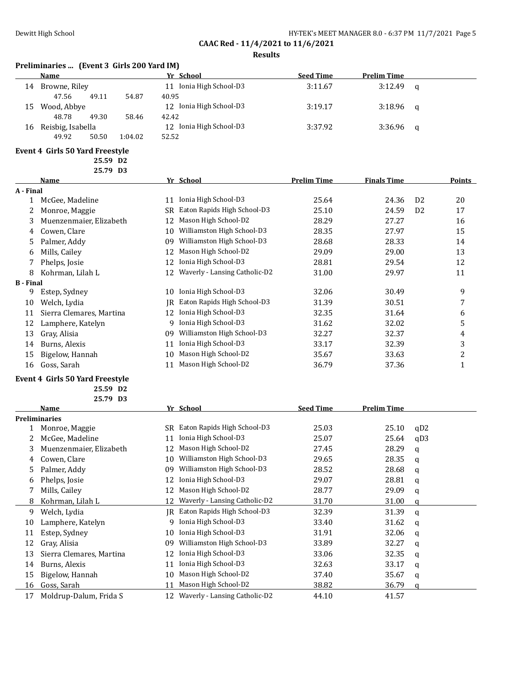# **Preliminaries ... (Event 3 Girls 200 Yard IM)**

|    | Name              |       |         | Yr School                  | <b>Seed Time</b> | <b>Prelim Time</b> |          |
|----|-------------------|-------|---------|----------------------------|------------------|--------------------|----------|
| 14 | Browne, Riley     |       |         | Ionia High School-D3<br>11 | 3:11.67          | 3:12.49            | $\alpha$ |
|    | 47.56             | 49.11 | 54.87   | 40.95                      |                  |                    |          |
| 15 | Wood, Abbye       |       |         | 12 Ionia High School-D3    | 3:19.17          | $3:18.96$ a        |          |
|    | 48.78             | 49.30 | 58.46   | 42.42                      |                  |                    |          |
| 16 | Reisbig, Isabella |       |         | 12 Ionia High School-D3    | 3:37.92          | $3:36.96$ a        |          |
|    | 49.92             | 50.50 | 1:04.02 | 52.52                      |                  |                    |          |

## **Event 4 Girls 50 Yard Freestyle**

**25.59 D2 25.79 D3**

|                  | Name                     |    | Yr School                     | <b>Prelim Time</b> | <b>Finals Time</b> |                | <b>Points</b> |
|------------------|--------------------------|----|-------------------------------|--------------------|--------------------|----------------|---------------|
| A - Final        |                          |    |                               |                    |                    |                |               |
| 1                | McGee, Madeline          | 11 | Ionia High School-D3          | 25.64              | 24.36              | D <sub>2</sub> | 20            |
| 2                | Monroe, Maggie           | SR | Eaton Rapids High School-D3   | 25.10              | 24.59              | D <sub>2</sub> | 17            |
| 3                | Muenzenmaier, Elizabeth  | 12 | Mason High School-D2          | 28.29              | 27.27              |                | 16            |
| 4                | Cowen, Clare             | 10 | Williamston High School-D3    | 28.35              | 27.97              |                | 15            |
| 5.               | Palmer, Addy             | 09 | Williamston High School-D3    | 28.68              | 28.33              |                | 14            |
| 6                | Mills, Cailey            | 12 | Mason High School-D2          | 29.09              | 29.00              |                | 13            |
|                  | Phelps, Josie            | 12 | Ionia High School-D3          | 28.81              | 29.54              |                | 12            |
| 8                | Kohrman, Lilah L         | 12 | Waverly - Lansing Catholic-D2 | 31.00              | 29.97              |                | 11            |
| <b>B</b> - Final |                          |    |                               |                    |                    |                |               |
| 9                | Estep, Sydney            | 10 | Ionia High School-D3          | 32.06              | 30.49              |                | 9             |
| 10               | Welch, Lydia             | IR | Eaton Rapids High School-D3   | 31.39              | 30.51              |                | 7             |
| 11               | Sierra Clemares, Martina | 12 | Ionia High School-D3          | 32.35              | 31.64              |                | 6             |
| 12               | Lamphere, Katelyn        | 9  | Ionia High School-D3          | 31.62              | 32.02              |                | 5             |
| 13               | Gray, Alisia             | 09 | Williamston High School-D3    | 32.27              | 32.37              |                | 4             |
| 14               | Burns, Alexis            | 11 | Ionia High School-D3          | 33.17              | 32.39              |                | 3             |
| 15               | Bigelow, Hannah          | 10 | Mason High School-D2          | 35.67              | 33.63              |                | 2             |
| 16               | Goss, Sarah              | 11 | Mason High School-D2          | 36.79              | 37.36              |                |               |

#### **Event 4 Girls 50 Yard Freestyle**

**25.59 D2**

|    | 25.79 D3                 |    |                               |                  |                    |     |
|----|--------------------------|----|-------------------------------|------------------|--------------------|-----|
|    | Name                     |    | Yr School                     | <b>Seed Time</b> | <b>Prelim Time</b> |     |
|    | <b>Preliminaries</b>     |    |                               |                  |                    |     |
|    | Monroe, Maggie           | SR | Eaton Rapids High School-D3   | 25.03            | 25.10              | qD2 |
|    | McGee, Madeline          | 11 | Ionia High School-D3          | 25.07            | 25.64              | qD3 |
| 3  | Muenzenmaier, Elizabeth  | 12 | Mason High School-D2          | 27.45            | 28.29              | a   |
| 4  | Cowen, Clare             | 10 | Williamston High School-D3    | 29.65            | 28.35              | q   |
| 5  | Palmer, Addy             | 09 | Williamston High School-D3    | 28.52            | 28.68              | a   |
| 6  | Phelps, Josie            | 12 | Ionia High School-D3          | 29.07            | 28.81              | q   |
|    | Mills, Cailey            | 12 | Mason High School-D2          | 28.77            | 29.09              | a   |
| 8  | Kohrman, Lilah L         | 12 | Waverly - Lansing Catholic-D2 | 31.70            | 31.00              | a   |
| 9  | Welch, Lydia             | IR | Eaton Rapids High School-D3   | 32.39            | 31.39              | a   |
| 10 | Lamphere, Katelyn        | q  | Ionia High School-D3          | 33.40            | 31.62              | a   |
| 11 | Estep, Sydney            | 10 | Ionia High School-D3          | 31.91            | 32.06              | a   |
| 12 | Gray, Alisia             | 09 | Williamston High School-D3    | 33.89            | 32.27              | a   |
| 13 | Sierra Clemares, Martina | 12 | Ionia High School-D3          | 33.06            | 32.35              | a   |
| 14 | Burns, Alexis            | 11 | Ionia High School-D3          | 32.63            | 33.17              | a   |
| 15 | Bigelow, Hannah          | 10 | Mason High School-D2          | 37.40            | 35.67              | a   |
| 16 | Goss, Sarah              | 11 | Mason High School-D2          | 38.82            | 36.79              | a   |
| 17 | Moldrup-Dalum, Frida S   | 12 | Waverly - Lansing Catholic-D2 | 44.10            | 41.57              |     |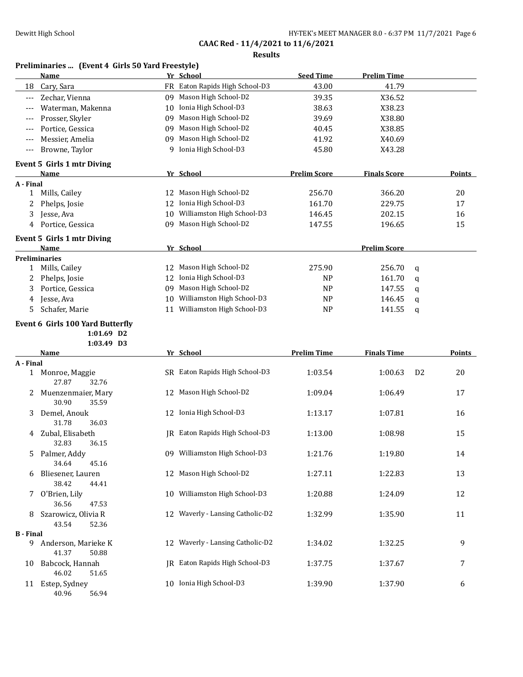|                  | Preliminaries  (Event 4 Girls 50 Yard Freestyle)<br>Name |    | Yr School                        | <b>Seed Time</b>    | <b>Prelim Time</b>  |                |               |
|------------------|----------------------------------------------------------|----|----------------------------------|---------------------|---------------------|----------------|---------------|
| 18               | Cary, Sara                                               |    | FR Eaton Rapids High School-D3   | 43.00               | 41.79               |                |               |
| $---$            | Zechar, Vienna                                           | 09 | Mason High School-D2             | 39.35               | X36.52              |                |               |
| $---$            | Waterman, Makenna                                        | 10 | Ionia High School-D3             | 38.63               | X38.23              |                |               |
| $---$            | Prosser, Skyler                                          | 09 | Mason High School-D2             | 39.69               | X38.80              |                |               |
| $---$            | Portice, Gessica                                         | 09 | Mason High School-D2             | 40.45               | X38.85              |                |               |
| $---$            | Messier, Amelia                                          | 09 | Mason High School-D2             | 41.92               | X40.69              |                |               |
| $---$            | Browne, Taylor                                           | q  | Ionia High School-D3             | 45.80               | X43.28              |                |               |
|                  | <b>Event 5 Girls 1 mtr Diving</b>                        |    |                                  |                     |                     |                |               |
|                  | <b>Name</b>                                              |    | Yr School                        | <b>Prelim Score</b> | <b>Finals Score</b> |                | Points        |
| A - Final        |                                                          |    |                                  |                     |                     |                |               |
| 1                | Mills, Cailey                                            |    | 12 Mason High School-D2          | 256.70              | 366.20              |                | 20            |
| 2                | Phelps, Josie                                            | 12 | Ionia High School-D3             | 161.70              | 229.75              |                | 17            |
| 3                | Jesse, Ava                                               | 10 | Williamston High School-D3       | 146.45              | 202.15              |                | 16            |
| 4                | Portice, Gessica                                         |    | 09 Mason High School-D2          | 147.55              | 196.65              |                | 15            |
|                  | <b>Event 5 Girls 1 mtr Diving</b>                        |    |                                  |                     |                     |                |               |
|                  | Name<br><b>Preliminaries</b>                             |    | Yr School                        |                     | <b>Prelim Score</b> |                |               |
| $\mathbf{1}$     | Mills, Cailey                                            | 12 | Mason High School-D2             | 275.90              | 256.70              | q              |               |
| 2                | Phelps, Josie                                            |    | 12 Ionia High School-D3          | <b>NP</b>           | 161.70              | q              |               |
| 3                | Portice, Gessica                                         | 09 | Mason High School-D2             | N <sub>P</sub>      | 147.55              | q              |               |
| 4                | Jesse, Ava                                               | 10 | Williamston High School-D3       | <b>NP</b>           | 146.45              | q              |               |
| 5                | Schafer, Marie                                           | 11 | Williamston High School-D3       | <b>NP</b>           | 141.55              | q              |               |
|                  | <b>Event 6 Girls 100 Yard Butterfly</b>                  |    |                                  |                     |                     |                |               |
|                  | $1:01.69$ D <sub>2</sub>                                 |    |                                  |                     |                     |                |               |
|                  | 1:03.49 D3                                               |    |                                  |                     |                     |                |               |
|                  | <b>Name</b>                                              |    | Yr School                        | <b>Prelim Time</b>  | <b>Finals Time</b>  |                | <b>Points</b> |
| A - Final        |                                                          |    |                                  |                     |                     |                |               |
| 1                | Monroe, Maggie<br>27.87<br>32.76                         |    | SR Eaton Rapids High School-D3   | 1:03.54             | 1:00.63             | D <sub>2</sub> | 20            |
| 2                | Muenzenmaier, Mary<br>30.90<br>35.59                     | 12 | Mason High School-D2             | 1:09.04             | 1:06.49             |                | 17            |
| 3                | Demel, Anouk<br>31.78<br>36.03                           |    | 12 Ionia High School-D3          | 1:13.17             | 1:07.81             |                | 16            |
| 4                | Zubal, Elisabeth<br>32.83<br>36.15                       |    | JR Eaton Rapids High School-D3   | 1:13.00             | 1:08.98             |                | 15            |
|                  | Palmer, Addy<br>34.64<br>45.16                           |    | 09 Williamston High School-D3    | 1:21.76             | 1:19.80             |                | 14            |
| 6                | Bliesener, Lauren<br>38.42<br>44.41                      |    | 12 Mason High School-D2          | 1:27.11             | 1:22.83             |                | 13            |
| 7                | O'Brien, Lily<br>36.56<br>47.53                          | 10 | Williamston High School-D3       | 1:20.88             | 1:24.09             |                | 12            |
| 8                | Szarowicz, Olivia R<br>43.54<br>52.36                    |    | 12 Waverly - Lansing Catholic-D2 | 1:32.99             | 1:35.90             |                | 11            |
| <b>B</b> - Final |                                                          |    |                                  |                     |                     |                |               |
|                  | 9 Anderson, Marieke K<br>41.37<br>50.88                  |    | 12 Waverly - Lansing Catholic-D2 | 1:34.02             | 1:32.25             |                | 9             |
| 10               | Babcock, Hannah<br>46.02<br>51.65                        |    | JR Eaton Rapids High School-D3   | 1:37.75             | 1:37.67             |                | 7             |
| 11               | Estep, Sydney<br>40.96<br>56.94                          |    | 10 Ionia High School-D3          | 1:39.90             | 1:37.90             |                | 6             |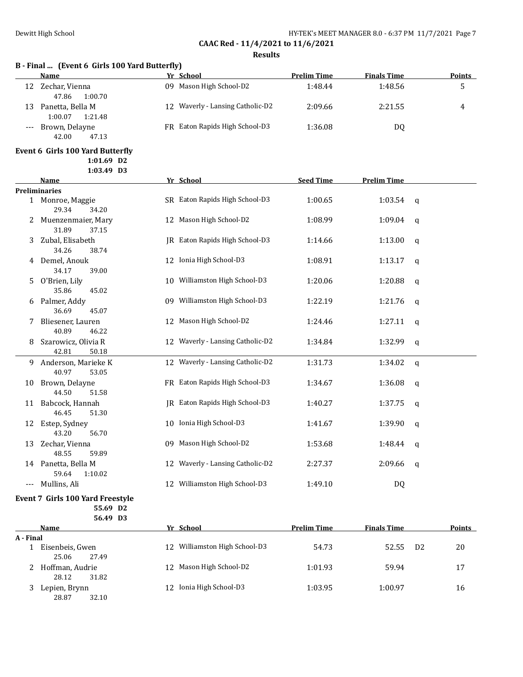## **B - Final ... (Event 6 Girls 100 Yard Butterfly)**

|       | <b>Name</b>        |     | Yr School                        | <b>Prelim Time</b> | <b>Finals Time</b> | Points |
|-------|--------------------|-----|----------------------------------|--------------------|--------------------|--------|
| 12    | Zechar, Vienna     | 09. | Mason High School-D2             | 1:48.44            | 1:48.56            |        |
|       | 1:00.70<br>47.86   |     |                                  |                    |                    |        |
| 13    | Panetta, Bella M   |     | 12 Waverly - Lansing Catholic-D2 | 2:09.66            | 2:21.55            | 4      |
|       | 1:21.48<br>1:00.07 |     |                                  |                    |                    |        |
| $---$ | Brown, Delayne     |     | FR Eaton Rapids High School-D3   | 1:36.08            | DQ                 |        |
|       | 42.00<br>47.13     |     |                                  |                    |                    |        |

## **Event 6 Girls 100 Yard Butterfly**

**1:01.69 D2**

|     | 1:03.49 D3                            |                                     |                  |                    |             |
|-----|---------------------------------------|-------------------------------------|------------------|--------------------|-------------|
|     | <b>Name</b>                           | Yr School                           | <b>Seed Time</b> | <b>Prelim Time</b> |             |
|     | <b>Preliminaries</b>                  |                                     |                  |                    |             |
|     | 1 Monroe, Maggie<br>29.34<br>34.20    | SR Eaton Rapids High School-D3      | 1:00.65          | 1:03.54            | q           |
| 2   | Muenzenmaier, Mary<br>31.89<br>37.15  | 12 Mason High School-D2             | 1:08.99          | 1:09.04            | q           |
| 3   | Zubal, Elisabeth<br>34.26<br>38.74    | IR Eaton Rapids High School-D3      | 1:14.66          | 1:13.00            | q           |
| 4   | Demel, Anouk<br>34.17<br>39.00        | 12 Ionia High School-D3             | 1:08.91          | 1:13.17            | q           |
| 5   | O'Brien, Lily<br>35.86<br>45.02       | 10 Williamston High School-D3       | 1:20.06          | 1:20.88            | q           |
| 6   | Palmer, Addy<br>36.69<br>45.07        | 09 Williamston High School-D3       | 1:22.19          | 1:21.76            | q           |
|     | Bliesener, Lauren<br>40.89<br>46.22   | 12 Mason High School-D2             | 1:24.46          | 1:27.11            | q           |
| 8   | Szarowicz, Olivia R<br>50.18<br>42.81 | 12 Waverly - Lansing Catholic-D2    | 1:34.84          | 1:32.99            | q           |
| 9.  | Anderson, Marieke K<br>40.97<br>53.05 | 12 Waverly - Lansing Catholic-D2    | 1:31.73          | 1:34.02            | q           |
| 10  | Brown, Delayne<br>44.50<br>51.58      | FR Eaton Rapids High School-D3      | 1:34.67          | 1:36.08            | q           |
| 11  | Babcock, Hannah<br>46.45<br>51.30     | JR Eaton Rapids High School-D3      | 1:40.27          | 1:37.75            | $\mathbf q$ |
| 12  | Estep, Sydney<br>43.20<br>56.70       | 10 Ionia High School-D3             | 1:41.67          | 1:39.90            | q           |
| 13  | Zechar, Vienna<br>48.55<br>59.89      | 09 Mason High School-D2             | 1:53.68          | 1:48.44            | q           |
| 14  | Panetta, Bella M<br>59.64<br>1:10.02  | Waverly - Lansing Catholic-D2<br>12 | 2:27.37          | 2:09.66            | q           |
| --- | Mullins, Ali                          | 12 Williamston High School-D3       | 1:49.10          | DQ                 |             |

# **Event 7 Girls 100 Yard Freestyle**

**55.69 D2 56.49 D3**

| Name                              | Yr School                        | <b>Prelim Time</b> | <b>Finals Time</b>      | <b>Points</b> |
|-----------------------------------|----------------------------------|--------------------|-------------------------|---------------|
| A - Final                         |                                  |                    |                         |               |
| Eisenbeis, Gwen<br>25.06<br>27.49 | Williamston High School-D3<br>12 | 54.73              | D <sub>2</sub><br>52.55 | 20            |
| Hoffman, Audrie<br>31.82<br>28.12 | 12 Mason High School-D2          | 1:01.93            | 59.94                   | 17            |
| Lepien, Brynn<br>28.87<br>32.10   | 12 Ionia High School-D3          | 1:03.95            | 1:00.97                 | 16            |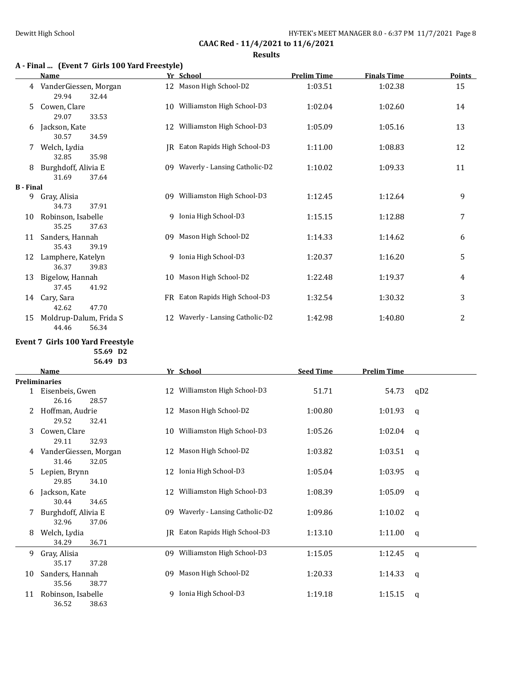# **A - Final ... (Event 7 Girls 100 Yard Freestyle)**

|                  | Name                                     |    | Yr School                        | <b>Prelim Time</b> | <b>Finals Time</b> | <b>Points</b> |
|------------------|------------------------------------------|----|----------------------------------|--------------------|--------------------|---------------|
| 4                | VanderGiessen, Morgan<br>29.94<br>32.44  |    | 12 Mason High School-D2          | 1:03.51            | 1:02.38            | 15            |
| 5.               | Cowen, Clare<br>29.07<br>33.53           |    | 10 Williamston High School-D3    | 1:02.04            | 1:02.60            | 14            |
| 6                | Jackson, Kate<br>30.57<br>34.59          | 12 | Williamston High School-D3       | 1:05.09            | 1:05.16            | 13            |
| 7                | Welch, Lydia<br>32.85<br>35.98           |    | JR Eaton Rapids High School-D3   | 1:11.00            | 1:08.83            | 12            |
| 8                | Burghdoff, Alivia E<br>31.69<br>37.64    |    | 09 Waverly - Lansing Catholic-D2 | 1:10.02            | 1:09.33            | 11            |
| <b>B</b> - Final |                                          |    |                                  |                    |                    |               |
| 9                | Gray, Alisia<br>34.73<br>37.91           |    | 09 Williamston High School-D3    | 1:12.45            | 1:12.64            | 9             |
| 10               | Robinson, Isabelle<br>35.25<br>37.63     |    | 9 Ionia High School-D3           | 1:15.15            | 1:12.88            | 7             |
| 11               | Sanders, Hannah<br>35.43<br>39.19        |    | 09 Mason High School-D2          | 1:14.33            | 1:14.62            | 6             |
| 12               | Lamphere, Katelyn<br>36.37<br>39.83      |    | 9 Ionia High School-D3           | 1:20.37            | 1:16.20            | 5             |
| 13               | Bigelow, Hannah<br>37.45<br>41.92        |    | 10 Mason High School-D2          | 1:22.48            | 1:19.37            | 4             |
| 14               | Cary, Sara<br>47.70<br>42.62             |    | FR Eaton Rapids High School-D3   | 1:32.54            | 1:30.32            | 3             |
| 15               | Moldrup-Dalum, Frida S<br>44.46<br>56.34 |    | 12 Waverly - Lansing Catholic-D2 | 1:42.98            | 1:40.80            | 2             |

## **Event 7 Girls 100 Yard Freestyle 55.69 D2 56.49 D3**

|    | <b>Name</b>           | Yr School                         | <b>Seed Time</b> | <b>Prelim Time</b> |              |
|----|-----------------------|-----------------------------------|------------------|--------------------|--------------|
|    | <b>Preliminaries</b>  |                                   |                  |                    |              |
|    | 1 Eisenbeis, Gwen     | Williamston High School-D3<br>12  | 51.71            | 54.73              | qD2          |
|    | 26.16<br>28.57        |                                   |                  |                    |              |
|    | Hoffman, Audrie       | 12 Mason High School-D2           | 1:00.80          | 1:01.93            | q            |
|    | 29.52<br>32.41        |                                   |                  |                    |              |
| 3  | Cowen, Clare          | Williamston High School-D3<br>10  | 1:05.26          | 1:02.04            | q            |
|    | 29.11<br>32.93        |                                   |                  |                    |              |
| 4  | VanderGiessen, Morgan | Mason High School-D2<br>12        | 1:03.82          | 1:03.51            | q            |
|    | 31.46<br>32.05        |                                   |                  |                    |              |
| 5  | Lepien, Brynn         | Ionia High School-D3<br>12        | 1:05.04          | 1:03.95            | $\mathsf{q}$ |
|    | 29.85<br>34.10        |                                   |                  |                    |              |
| 6  | Jackson, Kate         | Williamston High School-D3<br>12  | 1:08.39          | 1:05.09            | $\mathsf{q}$ |
|    | 30.44<br>34.65        |                                   |                  |                    |              |
| 7  | Burghdoff, Alivia E   | 09 Waverly - Lansing Catholic-D2  | 1:09.86          | 1:10.02            | q            |
|    | 32.96<br>37.06        |                                   |                  |                    |              |
| 8  | Welch, Lydia          | IR Eaton Rapids High School-D3    | 1:13.10          | 1:11.00            | q            |
|    | 34.29<br>36.71        |                                   |                  |                    |              |
| 9  | Gray, Alisia          | Williamston High School-D3<br>09. | 1:15.05          | 1:12.45            | q            |
|    | 35.17<br>37.28        |                                   |                  |                    |              |
| 10 | Sanders, Hannah       | Mason High School-D2<br>09        | 1:20.33          | 1:14.33            | q            |
|    | 35.56<br>38.77        |                                   |                  |                    |              |
| 11 | Robinson, Isabelle    | Ionia High School-D3<br>q         | 1:19.18          | 1:15.15            | q            |
|    | 36.52<br>38.63        |                                   |                  |                    |              |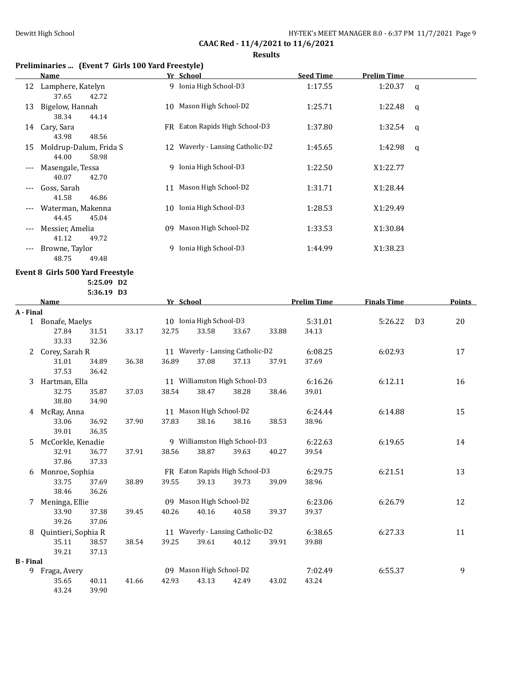## **Results**

# **Preliminaries ... (Event 7 Girls 100 Yard Freestyle)**

|       | <b>Name</b>                              |    | Yr School                        | <b>Seed Time</b> | <b>Prelim Time</b> |          |
|-------|------------------------------------------|----|----------------------------------|------------------|--------------------|----------|
|       | 12 Lamphere, Katelyn<br>42.72<br>37.65   |    | 9 Ionia High School-D3           | 1:17.55          | 1:20.37            | $\alpha$ |
| 13    | Bigelow, Hannah<br>38.34<br>44.14        | 10 | Mason High School-D2             | 1:25.71          | 1:22.48            | q        |
| 14    | Cary, Sara<br>48.56<br>43.98             |    | FR Eaton Rapids High School-D3   | 1:37.80          | 1:32.54            | q        |
| 15    | Moldrup-Dalum, Frida S<br>44.00<br>58.98 |    | 12 Waverly - Lansing Catholic-D2 | 1:45.65          | 1:42.98            | q        |
| ---   | Masengale, Tessa<br>42.70<br>40.07       |    | 9 Ionia High School-D3           | 1:22.50          | X1:22.77           |          |
| ---   | Goss, Sarah<br>41.58<br>46.86            | 11 | Mason High School-D2             | 1:31.71          | X1:28.44           |          |
|       | Waterman, Makenna<br>44.45<br>45.04      | 10 | Ionia High School-D3             | 1:28.53          | X1:29.49           |          |
| $---$ | Messier, Amelia<br>41.12<br>49.72        | 09 | Mason High School-D2             | 1:33.53          | X1:30.84           |          |
| ---   | Browne, Taylor<br>48.75<br>49.48         | 9. | Ionia High School-D3             | 1:44.99          | X1:38.23           |          |

## **Event 8 Girls 500 Yard Freestyle**

**5:25.09 D2 5:36.19 D3**

|                  | Name                |       |       | Yr School |                                  |       |       | <b>Prelim Time</b> | <b>Finals Time</b> |                | <b>Points</b> |
|------------------|---------------------|-------|-------|-----------|----------------------------------|-------|-------|--------------------|--------------------|----------------|---------------|
| A - Final        |                     |       |       |           |                                  |       |       |                    |                    |                |               |
|                  | 1 Bonafe, Maelys    |       |       |           | 10 Ionia High School-D3          |       |       | 5:31.01            | 5:26.22            | D <sub>3</sub> | 20            |
|                  | 27.84               | 31.51 | 33.17 | 32.75     | 33.58                            | 33.67 | 33.88 | 34.13              |                    |                |               |
|                  | 33.33               | 32.36 |       |           |                                  |       |       |                    |                    |                |               |
| 2                | Corey, Sarah R      |       |       |           | 11 Waverly - Lansing Catholic-D2 |       |       | 6:08.25            | 6:02.93            |                | 17            |
|                  | 31.01               | 34.89 | 36.38 | 36.89     | 37.08                            | 37.13 | 37.91 | 37.69              |                    |                |               |
|                  | 37.53               | 36.42 |       |           |                                  |       |       |                    |                    |                |               |
| 3                | Hartman, Ella       |       |       |           | 11 Williamston High School-D3    |       |       | 6:16.26            | 6:12.11            |                | 16            |
|                  | 32.75               | 35.87 | 37.03 | 38.54     | 38.47                            | 38.28 | 38.46 | 39.01              |                    |                |               |
|                  | 38.80               | 34.90 |       |           |                                  |       |       |                    |                    |                |               |
| 4                | McRay, Anna         |       |       |           | 11 Mason High School-D2          |       |       | 6:24.44            | 6:14.88            |                | 15            |
|                  | 33.06               | 36.92 | 37.90 | 37.83     | 38.16                            | 38.16 | 38.53 | 38.96              |                    |                |               |
|                  | 39.01               | 36.35 |       |           |                                  |       |       |                    |                    |                |               |
| 5                | McCorkle, Kenadie   |       |       |           | 9 Williamston High School-D3     |       |       | 6:22.63            | 6:19.65            |                | 14            |
|                  | 32.91               | 36.77 | 37.91 | 38.56     | 38.87                            | 39.63 | 40.27 | 39.54              |                    |                |               |
|                  | 37.86               | 37.33 |       |           |                                  |       |       |                    |                    |                |               |
| 6                | Monroe, Sophia      |       |       |           | FR Eaton Rapids High School-D3   |       |       | 6:29.75            | 6:21.51            |                | 13            |
|                  | 33.75               | 37.69 | 38.89 | 39.55     | 39.13                            | 39.73 | 39.09 | 38.96              |                    |                |               |
|                  | 38.46               | 36.26 |       |           |                                  |       |       |                    |                    |                |               |
| 7                | Meninga, Ellie      |       |       |           | 09 Mason High School-D2          |       |       | 6:23.06            | 6:26.79            |                | 12            |
|                  | 33.90               | 37.38 | 39.45 | 40.26     | 40.16                            | 40.58 | 39.37 | 39.37              |                    |                |               |
|                  | 39.26               | 37.06 |       |           |                                  |       |       |                    |                    |                |               |
| 8                | Quintieri, Sophia R |       |       |           | 11 Waverly - Lansing Catholic-D2 |       |       | 6:38.65            | 6:27.33            |                | 11            |
|                  | 35.11               | 38.57 | 38.54 | 39.25     | 39.61                            | 40.12 | 39.91 | 39.88              |                    |                |               |
|                  | 39.21               | 37.13 |       |           |                                  |       |       |                    |                    |                |               |
| <b>B</b> - Final |                     |       |       |           |                                  |       |       |                    |                    |                |               |
| 9                | Fraga, Avery        |       |       |           | 09 Mason High School-D2          |       |       | 7:02.49            | 6:55.37            |                | 9             |
|                  | 35.65               | 40.11 | 41.66 | 42.93     | 43.13                            | 42.49 | 43.02 | 43.24              |                    |                |               |
|                  | 43.24               | 39.90 |       |           |                                  |       |       |                    |                    |                |               |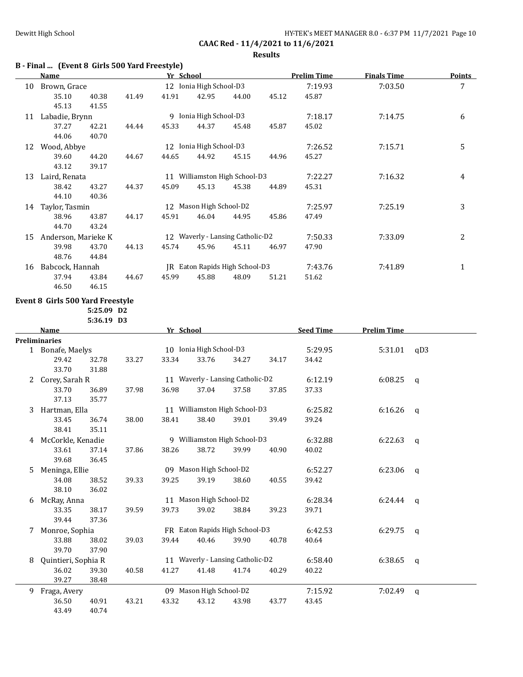# **B - Final ... (Event 8 Girls 500 Yard Freestyle)**

|    | <b>Name</b>         |       |       | Yr School |                         |                                  |       | <b>Prelim Time</b> | <b>Finals Time</b> | Points         |
|----|---------------------|-------|-------|-----------|-------------------------|----------------------------------|-------|--------------------|--------------------|----------------|
| 10 | Brown, Grace        |       |       |           | 12 Ionia High School-D3 |                                  |       | 7:19.93            | 7:03.50            | 7              |
|    | 35.10               | 40.38 | 41.49 | 41.91     | 42.95                   | 44.00                            | 45.12 | 45.87              |                    |                |
|    | 45.13               | 41.55 |       |           |                         |                                  |       |                    |                    |                |
| 11 | Labadie, Brynn      |       |       |           | 9 Ionia High School-D3  |                                  |       | 7:18.17            | 7:14.75            | 6              |
|    | 37.27               | 42.21 | 44.44 | 45.33     | 44.37                   | 45.48                            | 45.87 | 45.02              |                    |                |
|    | 44.06               | 40.70 |       |           |                         |                                  |       |                    |                    |                |
| 12 | Wood, Abbye         |       |       | 12        | Ionia High School-D3    |                                  |       | 7:26.52            | 7:15.71            | 5              |
|    | 39.60               | 44.20 | 44.67 | 44.65     | 44.92                   | 45.15                            | 44.96 | 45.27              |                    |                |
|    | 43.12               | 39.17 |       |           |                         |                                  |       |                    |                    |                |
| 13 | Laird, Renata       |       |       |           |                         | 11 Williamston High School-D3    |       | 7:22.27            | 7:16.32            | 4              |
|    | 38.42               | 43.27 | 44.37 | 45.09     | 45.13                   | 45.38                            | 44.89 | 45.31              |                    |                |
|    | 44.10               | 40.36 |       |           |                         |                                  |       |                    |                    |                |
| 14 | Taylor, Tasmin      |       |       | 12        | Mason High School-D2    |                                  |       | 7:25.97            | 7:25.19            | 3              |
|    | 38.96               | 43.87 | 44.17 | 45.91     | 46.04                   | 44.95                            | 45.86 | 47.49              |                    |                |
|    | 44.70               | 43.24 |       |           |                         |                                  |       |                    |                    |                |
| 15 | Anderson, Marieke K |       |       |           |                         | 12 Waverly - Lansing Catholic-D2 |       | 7:50.33            | 7:33.09            | $\overline{2}$ |
|    | 39.98               | 43.70 | 44.13 | 45.74     | 45.96                   | 45.11                            | 46.97 | 47.90              |                    |                |
|    | 48.76               | 44.84 |       |           |                         |                                  |       |                    |                    |                |
| 16 | Babcock, Hannah     |       |       | IR        |                         | Eaton Rapids High School-D3      |       | 7:43.76            | 7:41.89            | $\mathbf{1}$   |
|    | 37.94               | 43.84 | 44.67 | 45.99     | 45.88                   | 48.09                            | 51.21 | 51.62              |                    |                |

## **Event 8 Girls 500 Yard Freestyle**

46.50 46.15

**5:25.09 D2 5:36.19 D3**

|   | <b>Name</b>         |       |       | Yr School |                         |                                  |       | <b>Seed Time</b> | <b>Prelim Time</b> |              |
|---|---------------------|-------|-------|-----------|-------------------------|----------------------------------|-------|------------------|--------------------|--------------|
|   | Preliminaries       |       |       |           |                         |                                  |       |                  |                    |              |
|   | 1 Bonafe, Maelys    |       |       |           | 10 Ionia High School-D3 |                                  |       | 5:29.95          | 5:31.01            | qD3          |
|   | 29.42               | 32.78 | 33.27 | 33.34     | 33.76                   | 34.27                            | 34.17 | 34.42            |                    |              |
|   | 33.70               | 31.88 |       |           |                         |                                  |       |                  |                    |              |
| 2 | Corey, Sarah R      |       |       |           |                         | 11 Waverly - Lansing Catholic-D2 |       | 6:12.19          | 6:08.25            | q            |
|   | 33.70               | 36.89 | 37.98 | 36.98     | 37.04                   | 37.58                            | 37.85 | 37.33            |                    |              |
|   | 37.13               | 35.77 |       |           |                         |                                  |       |                  |                    |              |
| 3 | Hartman, Ella       |       |       |           |                         | 11 Williamston High School-D3    |       | 6:25.82          | 6:16.26            | q            |
|   | 33.45               | 36.74 | 38.00 | 38.41     | 38.40                   | 39.01                            | 39.49 | 39.24            |                    |              |
|   | 38.41               | 35.11 |       |           |                         |                                  |       |                  |                    |              |
| 4 | McCorkle, Kenadie   |       |       |           |                         | 9 Williamston High School-D3     |       | 6:32.88          | 6:22.63            | q            |
|   | 33.61               | 37.14 | 37.86 | 38.26     | 38.72                   | 39.99                            | 40.90 | 40.02            |                    |              |
|   | 39.68               | 36.45 |       |           |                         |                                  |       |                  |                    |              |
| 5 | Meninga, Ellie      |       |       |           | 09 Mason High School-D2 |                                  |       | 6:52.27          | 6:23.06            | $\mathsf{q}$ |
|   | 34.08               | 38.52 | 39.33 | 39.25     | 39.19                   | 38.60                            | 40.55 | 39.42            |                    |              |
|   | 38.10               | 36.02 |       |           |                         |                                  |       |                  |                    |              |
| 6 | McRay, Anna         |       |       |           | 11 Mason High School-D2 |                                  |       | 6:28.34          | 6:24.44            | q            |
|   | 33.35               | 38.17 | 39.59 | 39.73     | 39.02                   | 38.84                            | 39.23 | 39.71            |                    |              |
|   | 39.44               | 37.36 |       |           |                         |                                  |       |                  |                    |              |
| 7 | Monroe, Sophia      |       |       |           |                         | FR Eaton Rapids High School-D3   |       | 6:42.53          | 6:29.75            | q            |
|   | 33.88               | 38.02 | 39.03 | 39.44     | 40.46                   | 39.90                            | 40.78 | 40.64            |                    |              |
|   | 39.70               | 37.90 |       |           |                         |                                  |       |                  |                    |              |
| 8 | Quintieri, Sophia R |       |       |           |                         | 11 Waverly - Lansing Catholic-D2 |       | 6:58.40          | 6:38.65            | q            |
|   | 36.02               | 39.30 | 40.58 | 41.27     | 41.48                   | 41.74                            | 40.29 | 40.22            |                    |              |
|   | 39.27               | 38.48 |       |           |                         |                                  |       |                  |                    |              |
| 9 | Fraga, Avery        |       |       |           | 09 Mason High School-D2 |                                  |       | 7:15.92          | 7:02.49            | $\mathsf{q}$ |
|   | 36.50               | 40.91 | 43.21 | 43.32     | 43.12                   | 43.98                            | 43.77 | 43.45            |                    |              |
|   | 43.49               | 40.74 |       |           |                         |                                  |       |                  |                    |              |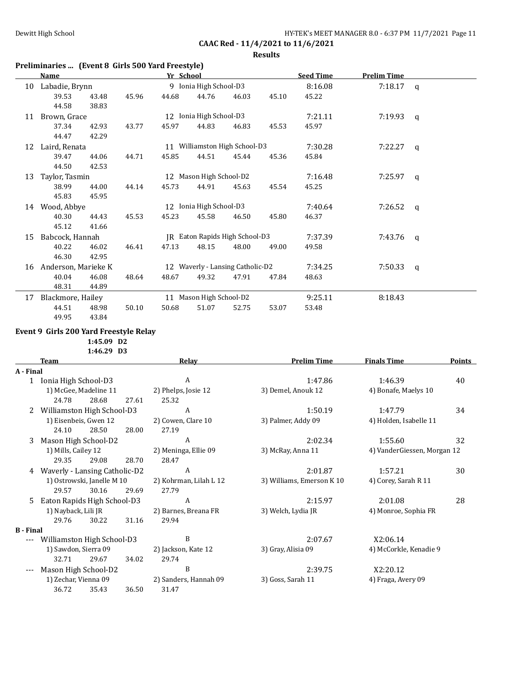**Results**

|    | Preliminaries  (Event 8 Girls 500 Yard Freestyle) |                |       |           |                         |                                  |       |                  |                    |          |
|----|---------------------------------------------------|----------------|-------|-----------|-------------------------|----------------------------------|-------|------------------|--------------------|----------|
|    | Name                                              |                |       | Yr School |                         |                                  |       | <b>Seed Time</b> | <b>Prelim Time</b> |          |
| 10 | Labadie, Brynn                                    |                |       |           | 9 Ionia High School-D3  |                                  |       | 8:16.08          | 7:18.17            | $\alpha$ |
|    | 39.53<br>44.58                                    | 43.48<br>38.83 | 45.96 | 44.68     | 44.76                   | 46.03                            | 45.10 | 45.22            |                    |          |
| 11 | Brown, Grace                                      |                |       |           | 12 Ionia High School-D3 |                                  |       | 7:21.11          | 7:19.93            | q        |
|    | 37.34                                             | 42.93          | 43.77 | 45.97     | 44.83                   | 46.83                            | 45.53 | 45.97            |                    |          |
|    | 44.47                                             | 42.29          |       |           |                         |                                  |       |                  |                    |          |
| 12 | Laird, Renata                                     |                |       |           |                         | 11 Williamston High School-D3    |       | 7:30.28          | 7:22.27            | q        |
|    | 39.47<br>44.50                                    | 44.06<br>42.53 | 44.71 | 45.85     | 44.51                   | 45.44                            | 45.36 | 45.84            |                    |          |
| 13 | Taylor, Tasmin                                    |                |       |           | 12 Mason High School-D2 |                                  |       | 7:16.48          | 7:25.97            | q        |
|    | 38.99                                             | 44.00          | 44.14 | 45.73     | 44.91                   | 45.63                            | 45.54 | 45.25            |                    |          |
|    | 45.83                                             | 45.95          |       |           |                         |                                  |       |                  |                    |          |
| 14 | Wood, Abbye                                       |                |       |           | 12 Ionia High School-D3 |                                  |       | 7:40.64          | 7:26.52            | q        |
|    | 40.30<br>45.12                                    | 44.43<br>41.66 | 45.53 | 45.23     | 45.58                   | 46.50                            | 45.80 | 46.37            |                    |          |
| 15 | Babcock, Hannah                                   |                |       |           |                         | JR Eaton Rapids High School-D3   |       | 7:37.39          | 7:43.76            | q        |
|    | 40.22                                             | 46.02          | 46.41 | 47.13     | 48.15                   | 48.00                            | 49.00 | 49.58            |                    |          |
|    | 46.30                                             | 42.95          |       |           |                         |                                  |       |                  |                    |          |
| 16 | Anderson, Marieke K                               |                |       |           |                         | 12 Waverly - Lansing Catholic-D2 |       | 7:34.25          | 7:50.33            | q        |
|    | 40.04                                             | 46.08          | 48.64 | 48.67     | 49.32                   | 47.91                            | 47.84 | 48.63            |                    |          |
|    | 48.31                                             | 44.89          |       |           |                         |                                  |       |                  |                    |          |
| 17 | Blackmore, Hailey                                 |                |       |           | 11 Mason High School-D2 |                                  |       | 9:25.11          | 8:18.43            |          |
|    | 44.51                                             | 48.98          | 50.10 | 50.68     | 51.07                   | 52.75                            | 53.07 | 53.48            |                    |          |
|    | 49.95                                             | 43.84          |       |           |                         |                                  |       |                  |                    |          |

## **Event 9 Girls 200 Yard Freestyle Relay**

**1:45.09 D2**

**1:46.29 D3**

|                  | <b>Team</b>                   |                            |       | Relay                  | <b>Prelim Time</b>        | <b>Finals Time</b>          | <b>Points</b> |
|------------------|-------------------------------|----------------------------|-------|------------------------|---------------------------|-----------------------------|---------------|
| A - Final        |                               |                            |       |                        |                           |                             |               |
| 1                | Ionia High School-D3          |                            |       | A                      | 1:47.86                   | 1:46.39                     | 40            |
|                  |                               | 1) McGee, Madeline 11      |       | 2) Phelps, Josie 12    | 3) Demel, Anouk 12        | 4) Bonafe, Maelys 10        |               |
|                  | 24.78                         | 28.68                      | 27.61 | 25.32                  |                           |                             |               |
| 2                | Williamston High School-D3    |                            |       | A                      | 1:50.19                   | 1:47.79                     | 34            |
|                  | 1) Eisenbeis, Gwen 12         |                            |       | 2) Cowen, Clare 10     | 3) Palmer, Addy 09        | 4) Holden, Isabelle 11      |               |
|                  | 24.10                         | 28.50                      | 28.00 | 27.19                  |                           |                             |               |
| 3                | Mason High School-D2          |                            |       | A                      | 2:02.34                   | 1:55.60                     | 32            |
|                  | 1) Mills, Cailey 12           |                            |       | 2) Meninga, Ellie 09   | 3) McRay, Anna 11         | 4) VanderGiessen, Morgan 12 |               |
|                  | 29.35                         | 29.08                      | 28.70 | 28.47                  |                           |                             |               |
| 4                | Waverly - Lansing Catholic-D2 |                            |       | A                      | 2:01.87                   | 1:57.21                     | 30            |
|                  |                               | 1) Ostrowski, Janelle M 10 |       | 2) Kohrman, Lilah L 12 | 3) Williams, Emerson K 10 | 4) Corey, Sarah R 11        |               |
|                  | 29.57                         | 30.16                      | 29.69 | 27.79                  |                           |                             |               |
| 5                | Eaton Rapids High School-D3   |                            |       | A                      | 2:15.97                   | 2:01.08                     | 28            |
|                  | 1) Nayback, Lili JR           |                            |       | 2) Barnes, Breana FR   | 3) Welch, Lydia JR        | 4) Monroe, Sophia FR        |               |
|                  | 29.76                         | 30.22                      | 31.16 | 29.94                  |                           |                             |               |
| <b>B</b> - Final |                               |                            |       |                        |                           |                             |               |
|                  | Williamston High School-D3    |                            |       | B                      | 2:07.67                   | X2:06.14                    |               |
|                  | 1) Sawdon, Sierra 09          |                            |       | 2) Jackson, Kate 12    | 3) Gray, Alisia 09        | 4) McCorkle, Kenadie 9      |               |
|                  | 32.71                         | 29.67                      | 34.02 | 29.74                  |                           |                             |               |
|                  | Mason High School-D2          |                            |       | B                      | 2:39.75                   | X2:20.12                    |               |
|                  | 1) Zechar, Vienna 09          |                            |       | 2) Sanders, Hannah 09  | 3) Goss, Sarah 11         | 4) Fraga, Avery 09          |               |
|                  | 36.72                         | 35.43                      | 36.50 | 31.47                  |                           |                             |               |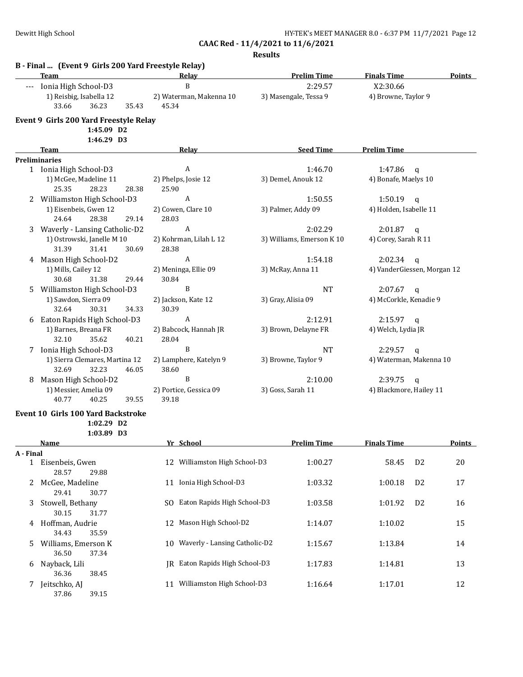|           | B - Final  (Event 9 Girls 200 Yard Freestyle Relay)<br>Team | Relay                               | <b>Prelim Time</b>        | <b>Finals Time</b>          |                | <b>Points</b> |
|-----------|-------------------------------------------------------------|-------------------------------------|---------------------------|-----------------------------|----------------|---------------|
|           | Ionia High School-D3                                        | $\, {\bf B}$                        | 2:29.57                   | X2:30.66                    |                |               |
|           | 1) Reisbig, Isabella 12                                     | 2) Waterman, Makenna 10             | 3) Masengale, Tessa 9     | 4) Browne, Taylor 9         |                |               |
|           | 33.66<br>36.23<br>35.43                                     | 45.34                               |                           |                             |                |               |
|           | Event 9 Girls 200 Yard Freestyle Relay                      |                                     |                           |                             |                |               |
|           | 1:45.09 D2                                                  |                                     |                           |                             |                |               |
|           | 1:46.29 D3                                                  |                                     |                           |                             |                |               |
|           | Team                                                        | Relay                               | <b>Seed Time</b>          | <b>Prelim Time</b>          |                |               |
|           | <b>Preliminaries</b>                                        |                                     |                           |                             |                |               |
|           | 1 Ionia High School-D3                                      | A                                   | 1:46.70                   | 1:47.86                     | $\mathbf{q}$   |               |
|           | 1) McGee, Madeline 11                                       | 2) Phelps, Josie 12                 | 3) Demel, Anouk 12        | 4) Bonafe, Maelys 10        |                |               |
|           | 28.23<br>25.35<br>28.38                                     | 25.90                               |                           |                             |                |               |
|           | 2 Williamston High School-D3                                | $\boldsymbol{A}$                    | 1:50.55                   | 1:50.19                     | q              |               |
|           | 1) Eisenbeis, Gwen 12<br>24.64<br>28.38<br>29.14            | 2) Cowen, Clare 10<br>28.03         | 3) Palmer, Addy 09        | 4) Holden, Isabelle 11      |                |               |
|           | 3 Waverly - Lansing Catholic-D2                             | $\boldsymbol{A}$                    | 2:02.29                   | $2:01.87$ q                 |                |               |
|           | 1) Ostrowski, Janelle M 10                                  | 2) Kohrman, Lilah L 12              | 3) Williams, Emerson K 10 | 4) Corey, Sarah R 11        |                |               |
|           | 31.39<br>31.41<br>30.69                                     | 28.38                               |                           |                             |                |               |
|           | Mason High School-D2                                        | $\boldsymbol{A}$                    | 1:54.18                   | 2:02.34                     |                |               |
| 4         | 1) Mills, Cailey 12                                         | 2) Meninga, Ellie 09                | 3) McRay, Anna 11         | 4) VanderGiessen, Morgan 12 | $\mathbf{q}$   |               |
|           | 30.68<br>31.38<br>29.44                                     | 30.84                               |                           |                             |                |               |
| 5         | Williamston High School-D3                                  | B                                   | <b>NT</b>                 | 2:07.67                     | q              |               |
|           | 1) Sawdon, Sierra 09                                        | 2) Jackson, Kate 12                 | 3) Gray, Alisia 09        | 4) McCorkle, Kenadie 9      |                |               |
|           | 30.31<br>32.64<br>34.33                                     | 30.39                               |                           |                             |                |               |
|           | Eaton Rapids High School-D3                                 | A                                   | 2:12.91                   | $2:15.97$ q                 |                |               |
|           | 1) Barnes, Breana FR                                        | 2) Babcock, Hannah JR               | 3) Brown, Delayne FR      | 4) Welch, Lydia JR          |                |               |
|           | 32.10<br>35.62<br>40.21                                     | 28.04                               |                           |                             |                |               |
|           | 7 Ionia High School-D3                                      | B                                   | <b>NT</b>                 | 2:29.57                     | $\mathsf{q}$   |               |
|           | 1) Sierra Clemares, Martina 12                              | 2) Lamphere, Katelyn 9              | 3) Browne, Taylor 9       | 4) Waterman, Makenna 10     |                |               |
|           | 32.69<br>32.23<br>46.05                                     | 38.60                               |                           |                             |                |               |
| 8         | Mason High School-D2                                        | B                                   | 2:10.00                   | 2:39.75                     | $\mathbf q$    |               |
|           | 1) Messier, Amelia 09                                       | 2) Portice, Gessica 09              | 3) Goss, Sarah 11         | 4) Blackmore, Hailey 11     |                |               |
|           | 40.77<br>40.25<br>39.55                                     | 39.18                               |                           |                             |                |               |
|           |                                                             |                                     |                           |                             |                |               |
|           | <b>Event 10 Girls 100 Yard Backstroke</b>                   |                                     |                           |                             |                |               |
|           | 1:02.29 D2<br>1:03.89 D3                                    |                                     |                           |                             |                |               |
|           | Name                                                        | Yr School                           | <b>Prelim Time</b>        | <b>Finals Time</b>          |                | <b>Points</b> |
| A - Final |                                                             |                                     |                           |                             |                |               |
|           | 1 Eisenbeis, Gwen                                           | 12 Williamston High School-D3       | 1:00.27                   | 58.45                       | D <sub>2</sub> | 20            |
|           | 28.57<br>29.88                                              |                                     |                           |                             |                |               |
| 2         | McGee, Madeline                                             | 11 Ionia High School-D3             | 1:03.32                   | 1:00.18                     | D <sub>2</sub> | 17            |
|           | 29.41<br>30.77                                              |                                     |                           |                             |                |               |
| 3.        | Stowell, Bethany                                            | Eaton Rapids High School-D3<br>SO.  | 1:03.58                   | 1:01.92                     | D <sub>2</sub> | 16            |
|           | 30.15<br>31.77                                              |                                     |                           |                             |                |               |
| 4         | Hoffman, Audrie                                             | 12 Mason High School-D2             | 1:14.07                   | 1:10.02                     |                | 15            |
|           | 34.43<br>35.59                                              |                                     |                           |                             |                |               |
| 5         | Williams, Emerson K                                         | Waverly - Lansing Catholic-D2<br>10 | 1:15.67                   | 1:13.84                     |                | 14            |
|           | 36.50<br>37.34                                              |                                     |                           |                             |                |               |
|           | Nayback, Lili                                               | JR Eaton Rapids High School-D3      | 1:17.83                   | 1:14.81                     |                | 13            |
| 6         | 36.36<br>38.45                                              |                                     |                           |                             |                |               |
|           | Jeitschko, AJ                                               | Williamston High School-D3<br>11    | 1:16.64                   | 1:17.01                     |                | 12            |
| 7.        | 37.86<br>39.15                                              |                                     |                           |                             |                |               |
|           |                                                             |                                     |                           |                             |                |               |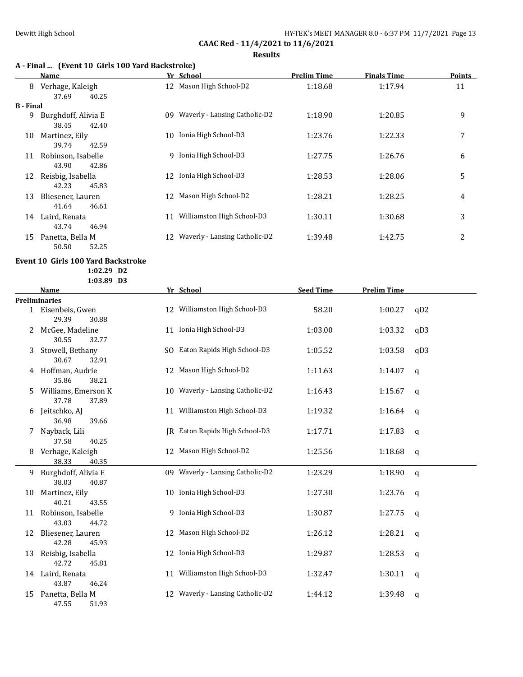# **A - Final ... (Event 10 Girls 100 Yard Backstroke)**

|           | Name                               | Yr School                           | Prelim Time | <b>Finals Time</b> | Points |
|-----------|------------------------------------|-------------------------------------|-------------|--------------------|--------|
| 8         | Verhage, Kaleigh<br>40.25<br>37.69 | 12 Mason High School-D2             | 1:18.68     | 1:17.94            | 11     |
| B - Final |                                    |                                     |             |                    |        |
| 9         | Burghdoff, Alivia E                | Waverly - Lansing Catholic-D2<br>09 | 1:18.90     | 1:20.85            | 9      |
|           | 38.45<br>42.40                     |                                     |             |                    |        |
| 10        | Martinez, Eily                     | Ionia High School-D3<br>10          | 1:23.76     | 1:22.33            | 7      |
|           | 39.74<br>42.59                     |                                     |             |                    |        |
| 11        | Robinson, Isabelle                 | Ionia High School-D3<br>9           | 1:27.75     | 1:26.76            | 6      |
|           | 42.86<br>43.90                     |                                     |             |                    |        |
| 12        | Reisbig, Isabella                  | Ionia High School-D3<br>12          | 1:28.53     | 1:28.06            | 5      |
|           | 45.83<br>42.23                     |                                     |             |                    |        |
| 13        | Bliesener, Lauren                  | Mason High School-D2<br>12          | 1:28.21     | 1:28.25            | 4      |
|           | 41.64<br>46.61                     |                                     |             |                    |        |
| 14        | Laird, Renata                      | Williamston High School-D3<br>11    | 1:30.11     | 1:30.68            | 3      |
|           | 43.74<br>46.94                     |                                     |             |                    |        |
| 15        | Panetta, Bella M                   | Waverly - Lansing Catholic-D2<br>12 | 1:39.48     | 1:42.75            | 2      |
|           | 52.25<br>50.50                     |                                     |             |                    |        |

## **Event 10 Girls 100 Yard Backstroke**

**1:02.29 D2**

**1:03.89 D3**

|    | <b>Name</b>                           |    | Yr School                        | <b>Seed Time</b> | <b>Prelim Time</b> |              |
|----|---------------------------------------|----|----------------------------------|------------------|--------------------|--------------|
|    | <b>Preliminaries</b>                  |    |                                  |                  |                    |              |
|    | 1 Eisenbeis, Gwen<br>29.39<br>30.88   |    | 12 Williamston High School-D3    | 58.20            | 1:00.27            | qD2          |
| 2  | McGee, Madeline<br>30.55<br>32.77     |    | 11 Ionia High School-D3          | 1:03.00          | 1:03.32            | qD3          |
| 3  | Stowell, Bethany<br>30.67<br>32.91    |    | SO Eaton Rapids High School-D3   | 1:05.52          | 1:03.58            | qD3          |
| 4  | Hoffman, Audrie<br>35.86<br>38.21     |    | 12 Mason High School-D2          | 1:11.63          | 1:14.07            | q            |
| 5  | Williams, Emerson K<br>37.78<br>37.89 |    | 10 Waverly - Lansing Catholic-D2 | 1:16.43          | 1:15.67            | q            |
| 6  | Jeitschko, AJ<br>36.98<br>39.66       |    | 11 Williamston High School-D3    | 1:19.32          | 1:16.64            | q            |
|    | Nayback, Lili<br>37.58<br>40.25       |    | IR Eaton Rapids High School-D3   | 1:17.71          | 1:17.83            | q            |
| 8  | Verhage, Kaleigh<br>38.33<br>40.35    |    | 12 Mason High School-D2          | 1:25.56          | 1:18.68            | q            |
| 9  | Burghdoff, Alivia E<br>38.03<br>40.87 |    | 09 Waverly - Lansing Catholic-D2 | 1:23.29          | 1:18.90            | $\mathbf q$  |
| 10 | Martinez, Eily<br>40.21<br>43.55      |    | 10 Ionia High School-D3          | 1:27.30          | 1:23.76            | q            |
| 11 | Robinson, Isabelle<br>43.03<br>44.72  |    | 9 Ionia High School-D3           | 1:30.87          | 1:27.75            | q            |
| 12 | Bliesener, Lauren<br>42.28<br>45.93   |    | 12 Mason High School-D2          | 1:26.12          | 1:28.21            | q            |
| 13 | Reisbig, Isabella<br>42.72<br>45.81   |    | 12 Ionia High School-D3          | 1:29.87          | 1:28.53            | $\mathsf{q}$ |
| 14 | Laird, Renata<br>43.87<br>46.24       |    | 11 Williamston High School-D3    | 1:32.47          | 1:30.11            | q            |
| 15 | Panetta, Bella M<br>47.55<br>51.93    | 12 | Waverly - Lansing Catholic-D2    | 1:44.12          | 1:39.48            | q            |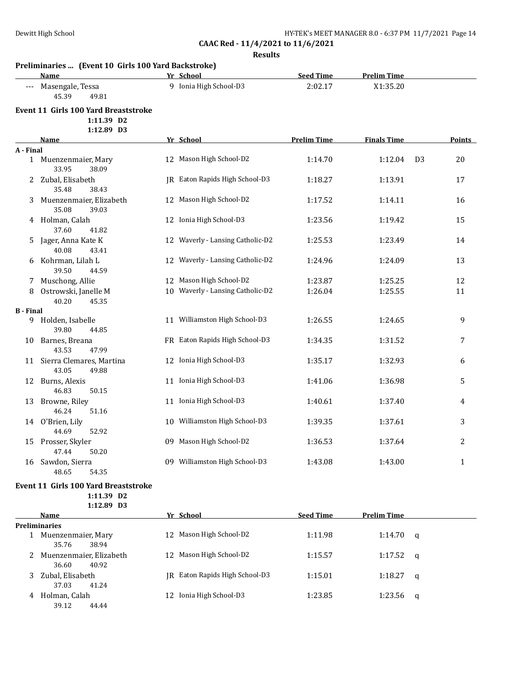**Results**

|                     | Preliminaries  (Event 10 Girls 100 Yard Backstroke)<br>Name             | Yr School                        | <b>Seed Time</b>   | <b>Prelim Time</b> |                |               |
|---------------------|-------------------------------------------------------------------------|----------------------------------|--------------------|--------------------|----------------|---------------|
| $\qquad \qquad - -$ | Masengale, Tessa<br>45.39<br>49.81                                      | 9 Ionia High School-D3           | 2:02.17            | X1:35.20           |                |               |
|                     | <b>Event 11 Girls 100 Yard Breaststroke</b><br>1:11.39 D2               |                                  |                    |                    |                |               |
|                     | 1:12.89 D3<br><b>Name</b>                                               | Yr School                        | <b>Prelim Time</b> | <b>Finals Time</b> |                | <b>Points</b> |
| A - Final           |                                                                         |                                  |                    |                    |                |               |
|                     | 1 Muenzenmaier, Mary<br>33.95<br>38.09                                  | 12 Mason High School-D2          | 1:14.70            | 1:12.04            | D <sub>3</sub> | 20            |
|                     | 2 Zubal, Elisabeth<br>35.48<br>38.43                                    | JR Eaton Rapids High School-D3   | 1:18.27            | 1:13.91            |                | 17            |
| 3.                  | Muenzenmaier, Elizabeth<br>35.08<br>39.03                               | 12 Mason High School-D2          | 1:17.52            | 1:14.11            |                | 16            |
|                     | 4 Holman, Calah<br>37.60<br>41.82                                       | 12 Ionia High School-D3          | 1:23.56            | 1:19.42            |                | 15            |
| 5.                  | Jager, Anna Kate K<br>40.08<br>43.41                                    | 12 Waverly - Lansing Catholic-D2 | 1:25.53            | 1:23.49            |                | 14            |
| 6                   | Kohrman, Lilah L<br>39.50<br>44.59                                      | 12 Waverly - Lansing Catholic-D2 | 1:24.96            | 1:24.09            |                | 13            |
| 7.                  | Muschong, Allie                                                         | 12 Mason High School-D2          | 1:23.87            | 1:25.25            |                | 12            |
| 8                   | Ostrowski, Janelle M<br>40.20<br>45.35                                  | 10 Waverly - Lansing Catholic-D2 | 1:26.04            | 1:25.55            |                | 11            |
| <b>B</b> - Final    |                                                                         |                                  |                    |                    |                |               |
| 9                   | Holden, Isabelle<br>39.80<br>44.85                                      | 11 Williamston High School-D3    | 1:26.55            | 1:24.65            |                | 9             |
| 10                  | Barnes, Breana<br>43.53<br>47.99                                        | FR Eaton Rapids High School-D3   | 1:34.35            | 1:31.52            |                | 7             |
|                     | 11 Sierra Clemares, Martina<br>43.05<br>49.88                           | 12 Ionia High School-D3          | 1:35.17            | 1:32.93            |                | 6             |
| 12                  | Burns, Alexis<br>46.83<br>50.15                                         | 11 Ionia High School-D3          | 1:41.06            | 1:36.98            |                | 5             |
| 13                  | Browne, Riley<br>46.24<br>51.16                                         | 11 Ionia High School-D3          | 1:40.61            | 1:37.40            |                | 4             |
|                     | 14 O'Brien, Lily<br>44.69<br>52.92                                      | 10 Williamston High School-D3    | 1:39.35            | 1:37.61            |                | 3             |
|                     | 15 Prosser, Skyler<br>47.44<br>50.20                                    | 09 Mason High School-D2          | 1:36.53            | 1:37.64            |                | 2             |
|                     | 16 Sawdon, Sierra<br>48.65<br>54.35                                     | 09 Williamston High School-D3    | 1:43.08            | 1:43.00            |                | 1             |
|                     | <b>Event 11 Girls 100 Yard Breaststroke</b><br>1:11.39 D2<br>1:12.89 D3 |                                  |                    |                    |                |               |
|                     | Name                                                                    | Yr School                        | <b>Seed Time</b>   | <b>Prelim Time</b> |                |               |
|                     | <b>Preliminaries</b>                                                    |                                  |                    |                    |                |               |
|                     | 1 Muenzenmaier, Mary<br>35.76<br>38.94                                  | 12 Mason High School-D2          | 1:11.98            | 1:14.70            | q              |               |
| 2                   | Muenzenmaier, Elizabeth<br>36.60<br>40.92                               | 12 Mason High School-D2          | 1:15.57            | 1:17.52            | q              |               |
|                     | 3 Zubal, Elisabeth<br>37.03<br>41.24                                    | JR Eaton Rapids High School-D3   | 1:15.01            | 1:18.27            | q              |               |

4 Holman, Calah 12 Ionia High School-D3 1:23.85 1:23.56 q

39.12 44.44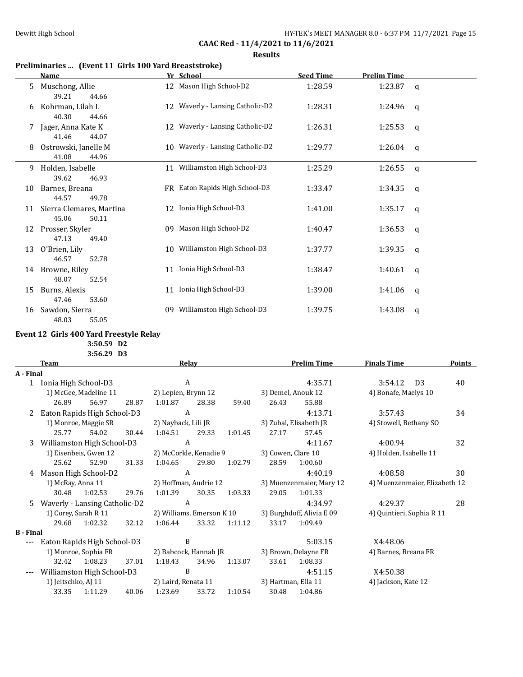**Results**

# **Preliminaries ... (Event 11 Girls 100 Yard Breaststroke)**

|    | Name                                       | Yr School                        | <b>Seed Time</b> | <b>Prelim Time</b> |              |
|----|--------------------------------------------|----------------------------------|------------------|--------------------|--------------|
| 5  | Muschong, Allie<br>39.21<br>44.66          | 12 Mason High School-D2          | 1:28.59          | 1:23.87            | q            |
| 6  | Kohrman, Lilah L<br>40.30<br>44.66         | 12 Waverly - Lansing Catholic-D2 | 1:28.31          | 1:24.96            | $\mathsf{q}$ |
|    | Jager, Anna Kate K<br>41.46<br>44.07       | 12 Waverly - Lansing Catholic-D2 | 1:26.31          | 1:25.53            | $\mathsf{q}$ |
| 8  | Ostrowski, Janelle M<br>41.08<br>44.96     | 10 Waverly - Lansing Catholic-D2 | 1:29.77          | 1:26.04            | q            |
| 9  | Holden, Isabelle<br>39.62<br>46.93         | 11 Williamston High School-D3    | 1:25.29          | 1:26.55            | $\mathsf{q}$ |
| 10 | Barnes, Breana<br>44.57<br>49.78           | FR Eaton Rapids High School-D3   | 1:33.47          | 1:34.35            | $\mathsf{q}$ |
| 11 | Sierra Clemares, Martina<br>50.11<br>45.06 | 12 Ionia High School-D3          | 1:41.00          | 1:35.17            | q            |
| 12 | Prosser, Skyler<br>47.13<br>49.40          | Mason High School-D2<br>09       | 1:40.47          | 1:36.53            | $\mathsf{q}$ |
| 13 | O'Brien, Lily<br>46.57<br>52.78            | 10 Williamston High School-D3    | 1:37.77          | 1:39.35            | q            |
| 14 | Browne, Riley<br>48.07<br>52.54            | 11 Ionia High School-D3          | 1:38.47          | 1:40.61            | q            |
| 15 | Burns, Alexis<br>47.46<br>53.60            | Ionia High School-D3<br>11       | 1:39.00          | 1:41.06            | q            |
| 16 | Sawdon, Sierra<br>48.03<br>55.05           | Williamston High School-D3<br>09 | 1:39.75          | 1:43.08            | $\mathbf q$  |

## **Event 12 Girls 400 Yard Freestyle Relay**

**3:56.29 D3**

|                   | <b>Team</b>                 |                               |                            |                           | <b>Relay</b> |                        |                           | <b>Prelim Time</b>     | <b>Finals Time</b>            |    | <b>Points</b> |
|-------------------|-----------------------------|-------------------------------|----------------------------|---------------------------|--------------|------------------------|---------------------------|------------------------|-------------------------------|----|---------------|
| A - Final         |                             |                               |                            |                           |              |                        |                           |                        |                               |    |               |
| 1                 | Ionia High School-D3        |                               | A<br>2) Lepien, Brynn 12   |                           |              |                        | 4:35.71                   | 3:54.12                | D <sub>3</sub>                | 40 |               |
|                   | 1) McGee, Madeline 11       |                               |                            |                           |              | 3) Demel, Anouk 12     |                           | 4) Bonafe, Maelys 10   |                               |    |               |
|                   | 26.89                       | 56.97                         | 28.87                      | 1:01.87                   | 28.38        | 59.40                  | 26.43                     | 55.88                  |                               |    |               |
| 2                 | Eaton Rapids High School-D3 |                               | A                          |                           |              |                        | 4:13.71                   | 3:57.43                |                               | 34 |               |
|                   | 1) Monroe, Maggie SR        |                               | 2) Nayback, Lili JR        |                           |              | 3) Zubal, Elisabeth JR |                           | 4) Stowell, Bethany SO |                               |    |               |
|                   | 25.77                       | 54.02                         | 30.44                      | 1:04.51                   | 29.33        | 1:01.45                | 27.17                     | 57.45                  |                               |    |               |
| 3                 |                             | Williamston High School-D3    |                            | A                         |              |                        |                           | 4:11.67                | 4:00.94                       |    | 32            |
|                   |                             | 1) Eisenbeis, Gwen 12         |                            | 2) McCorkle, Kenadie 9    |              |                        | 3) Cowen, Clare 10        |                        | 4) Holden, Isabelle 11        |    |               |
|                   | 25.62                       | 52.90                         | 31.33                      | 1:04.65                   | 29.80        | 1:02.79                | 28.59                     | 1:00.60                |                               |    |               |
| 4                 |                             | Mason High School-D2          |                            | A                         |              |                        |                           | 4:40.19                | 4:08.58                       |    | 30            |
| 1) McRay, Anna 11 |                             |                               |                            | 2) Hoffman, Audrie 12     |              |                        | 3) Muenzenmaier, Mary 12  |                        | 4) Muenzenmaier, Elizabeth 12 |    |               |
|                   | 30.48                       | 1:02.53                       | 29.76                      | 1:01.39                   | 30.35        | 1:03.33                | 29.05                     | 1:01.33                |                               |    |               |
| 5.                |                             | Waverly - Lansing Catholic-D2 |                            |                           | A            |                        |                           | 4:34.97                | 4:29.37                       |    | 28            |
|                   | 1) Corey, Sarah R 11        |                               |                            | 2) Williams, Emerson K 10 |              |                        | 3) Burghdoff, Alivia E 09 |                        | 4) Quintieri, Sophia R 11     |    |               |
|                   | 29.68                       | 1:02.32                       | 32.12                      | 1:06.44                   | 33.32        | 1:11.12                | 33.17                     | 1:09.49                |                               |    |               |
| <b>B</b> - Final  |                             |                               |                            |                           |              |                        |                           |                        |                               |    |               |
|                   | Eaton Rapids High School-D3 |                               | B<br>2) Babcock, Hannah JR |                           |              |                        | 5:03.15                   | X4:48.06               |                               |    |               |
|                   | 1) Monroe, Sophia FR        |                               |                            |                           |              | 3) Brown, Delayne FR   |                           | 4) Barnes, Breana FR   |                               |    |               |
|                   | 32.42                       | 1:08.23                       | 37.01                      | 1:18.43                   | 34.96        | 1:13.07                | 33.61                     | 1:08.33                |                               |    |               |
|                   | Williamston High School-D3  |                               | B                          |                           |              |                        | 4:51.15                   | X4:50.38               |                               |    |               |
|                   | 1) Jeitschko, AJ 11         |                               |                            | 2) Laird, Renata 11       |              |                        | 3) Hartman, Ella 11       |                        | 4) Jackson, Kate 12           |    |               |
|                   | 33.35                       | 1:11.29                       | 40.06                      | 1:23.69                   | 33.72        | 1:10.54                | 30.48                     | 1:04.86                |                               |    |               |

**<sup>3:50.59</sup> D2**